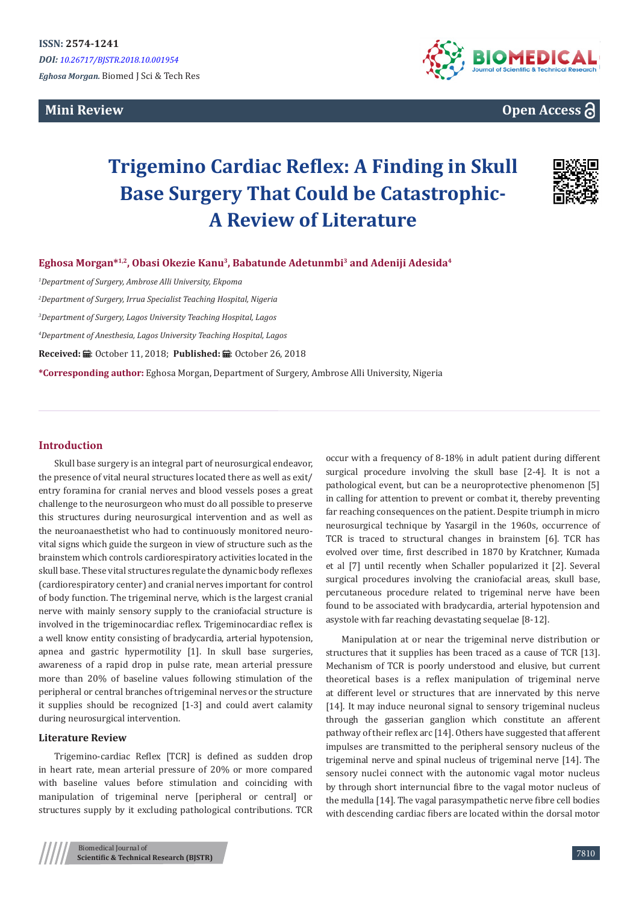**Mini Review** 



# **Open Access**

# **Trigemino Cardiac Reflex: A Finding in Skull Base Surgery That Could be Catastrophic-A Review of Literature**



**Eghosa Morgan\*1,2, Obasi Okezie Kanu<sup>3</sup>, Babatunde Adetunmbi<sup>3</sup> and Adeniji Adesida<sup>4</sup>**

*1 Department of Surgery, Ambrose Alli University, Ekpoma*

*2 Department of Surgery, Irrua Specialist Teaching Hospital, Nigeria*

*3 Department of Surgery, Lagos University Teaching Hospital, Lagos*

*4 Department of Anesthesia, Lagos University Teaching Hospital, Lagos*

Received: *=* October 11, 2018; Published: = October 26, 2018

**\*Corresponding author:** Eghosa Morgan, Department of Surgery, Ambrose Alli University, Nigeria

#### **Introduction**

Skull base surgery is an integral part of neurosurgical endeavor, the presence of vital neural structures located there as well as exit/ entry foramina for cranial nerves and blood vessels poses a great challenge to the neurosurgeon who must do all possible to preserve this structures during neurosurgical intervention and as well as the neuroanaesthetist who had to continuously monitored neurovital signs which guide the surgeon in view of structure such as the brainstem which controls cardiorespiratory activities located in the skull base. These vital structures regulate the dynamic body reflexes (cardiorespiratory center) and cranial nerves important for control of body function. The trigeminal nerve, which is the largest cranial nerve with mainly sensory supply to the craniofacial structure is involved in the trigeminocardiac reflex. Trigeminocardiac reflex is a well know entity consisting of bradycardia, arterial hypotension, apnea and gastric hypermotility [1]. In skull base surgeries, awareness of a rapid drop in pulse rate, mean arterial pressure more than 20% of baseline values following stimulation of the peripheral or central branches of trigeminal nerves or the structure it supplies should be recognized [1-3] and could avert calamity during neurosurgical intervention.

#### **Literature Review**

Trigemino-cardiac Reflex [TCR] is defined as sudden drop in heart rate, mean arterial pressure of 20% or more compared with baseline values before stimulation and coinciding with manipulation of trigeminal nerve [peripheral or central] or structures supply by it excluding pathological contributions. TCR occur with a frequency of 8-18% in adult patient during different surgical procedure involving the skull base [2-4]. It is not a pathological event, but can be a neuroprotective phenomenon [5] in calling for attention to prevent or combat it, thereby preventing far reaching consequences on the patient. Despite triumph in micro neurosurgical technique by Yasargil in the 1960s, occurrence of TCR is traced to structural changes in brainstem [6]. TCR has evolved over time, first described in 1870 by Kratchner, Kumada et al [7] until recently when Schaller popularized it [2]. Several surgical procedures involving the craniofacial areas, skull base, percutaneous procedure related to trigeminal nerve have been found to be associated with bradycardia, arterial hypotension and asystole with far reaching devastating sequelae [8-12].

Manipulation at or near the trigeminal nerve distribution or structures that it supplies has been traced as a cause of TCR [13]. Mechanism of TCR is poorly understood and elusive, but current theoretical bases is a reflex manipulation of trigeminal nerve at different level or structures that are innervated by this nerve [14]. It may induce neuronal signal to sensory trigeminal nucleus through the gasserian ganglion which constitute an afferent pathway of their reflex arc [14]. Others have suggested that afferent impulses are transmitted to the peripheral sensory nucleus of the trigeminal nerve and spinal nucleus of trigeminal nerve [14]. The sensory nuclei connect with the autonomic vagal motor nucleus by through short internuncial fibre to the vagal motor nucleus of the medulla [14]. The vagal parasympathetic nerve fibre cell bodies with descending cardiac fibers are located within the dorsal motor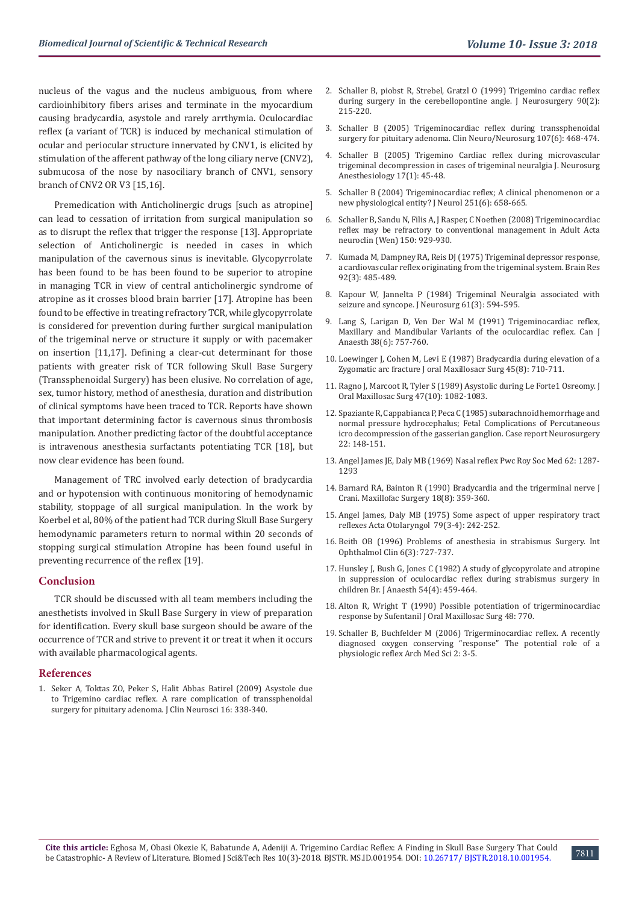nucleus of the vagus and the nucleus ambiguous, from where cardioinhibitory fibers arises and terminate in the myocardium causing bradycardia, asystole and rarely arrthymia. Oculocardiac reflex (a variant of TCR) is induced by mechanical stimulation of ocular and periocular structure innervated by CNV1, is elicited by stimulation of the afferent pathway of the long ciliary nerve (CNV2), submucosa of the nose by nasociliary branch of CNV1, sensory branch of CNV2 OR V3 [15,16].

Premedication with Anticholinergic drugs [such as atropine] can lead to cessation of irritation from surgical manipulation so as to disrupt the reflex that trigger the response [13]. Appropriate selection of Anticholinergic is needed in cases in which manipulation of the cavernous sinus is inevitable. Glycopyrrolate has been found to be has been found to be superior to atropine in managing TCR in view of central anticholinergic syndrome of atropine as it crosses blood brain barrier [17]. Atropine has been found to be effective in treating refractory TCR, while glycopyrrolate is considered for prevention during further surgical manipulation of the trigeminal nerve or structure it supply or with pacemaker on insertion [11,17]. Defining a clear-cut determinant for those patients with greater risk of TCR following Skull Base Surgery (Transsphenoidal Surgery) has been elusive. No correlation of age, sex, tumor history, method of anesthesia, duration and distribution of clinical symptoms have been traced to TCR. Reports have shown that important determining factor is cavernous sinus thrombosis manipulation. Another predicting factor of the doubtful acceptance is intravenous anesthesia surfactants potentiating TCR [18], but now clear evidence has been found.

Management of TRC involved early detection of bradycardia and or hypotension with continuous monitoring of hemodynamic stability, stoppage of all surgical manipulation. In the work by Koerbel et al, 80% of the patient had TCR during Skull Base Surgery hemodynamic parameters return to normal within 20 seconds of stopping surgical stimulation Atropine has been found useful in preventing recurrence of the reflex [19].

#### **Conclusion**

TCR should be discussed with all team members including the anesthetists involved in Skull Base Surgery in view of preparation for identification. Every skull base surgeon should be aware of the occurrence of TCR and strive to prevent it or treat it when it occurs with available pharmacological agents.

#### **References**

1. Seker A, Toktas ZO, Peker S, [Halit Abbas Batirel \(2009\) Asystole due](https://www.pubfacts.com/detail/19056276/Asystole-due-to-trigemino-cardiac-reflex-a-rare-complication-of-trans-sphenoidal-surgery-for-pituita)  [to Trigemino cardiac reflex. A rare complication of transsphenoidal](https://www.pubfacts.com/detail/19056276/Asystole-due-to-trigemino-cardiac-reflex-a-rare-complication-of-trans-sphenoidal-surgery-for-pituita)  [surgery for pituitary adenoma. J Clin Neurosci 16: 338-340](https://www.pubfacts.com/detail/19056276/Asystole-due-to-trigemino-cardiac-reflex-a-rare-complication-of-trans-sphenoidal-surgery-for-pituita).

- 2. [Schaller B, piobst R, Strebel, Gratzl O \(1999\) Trigemino cardiac reflex](https://www.ncbi.nlm.nih.gov/pubmed/9950491) [during surgery in the cerebellopontine angle. J Neurosurgery 90\(2\):](https://www.ncbi.nlm.nih.gov/pubmed/9950491) [215-220.](https://www.ncbi.nlm.nih.gov/pubmed/9950491)
- 3. [Schaller B \(2005\) Trigeminocardiac reflex during transsphenoidal](https://www.ncbi.nlm.nih.gov/pubmed/16202819) [surgery for pituitary adenoma. Clin Neuro/Neurosurg 107\(6\): 468-474](https://www.ncbi.nlm.nih.gov/pubmed/16202819).
- [Schaller B \(2005\) Trigemino Cardiac reflex during microvascular](https://www.ncbi.nlm.nih.gov/pubmed/15632542) [trigeminal decompression in cases of trigeminal neuralgia J. Neurosurg](https://www.ncbi.nlm.nih.gov/pubmed/15632542) [Anesthesiology 17\(1\): 45-48.](https://www.ncbi.nlm.nih.gov/pubmed/15632542)
- 5. [Schaller B \(2004\) Trigeminocardiac reflex; A clinical phenomenon or a](https://www.ncbi.nlm.nih.gov/pubmed/15311339) [new physiological entity? J Neurol 251\(6\): 658-665.](https://www.ncbi.nlm.nih.gov/pubmed/15311339)
- 6. [Schaller B, Sandu N, Filis A, J Rasper, C Noethen \(2008\) Trigeminocardiac](https://link.springer.com/article/10.1007%2Fs00701-008-0010-x?LI=true) [reflex may be refractory to conventional management in Adult Acta](https://link.springer.com/article/10.1007%2Fs00701-008-0010-x?LI=true) [neuroclin \(Wen\) 150: 929-930.](https://link.springer.com/article/10.1007%2Fs00701-008-0010-x?LI=true)
- 7. [Kumada M, Dampney RA, Reis DJ \(1975\) Trigeminal depressor response,](https://www.ncbi.nlm.nih.gov/pubmed/1182019) [a cardiovascular reflex originating from the trigeminal system. Brain Res](https://www.ncbi.nlm.nih.gov/pubmed/1182019) [92\(3\): 485-489.](https://www.ncbi.nlm.nih.gov/pubmed/1182019)
- 8. [Kapour W, Jannelta P \(1984\) Trigeminal Neuralgia associated with](https://www.ncbi.nlm.nih.gov/pubmed/6747698) [seizure and syncope. J Neurosurg 61\(3\): 594-595.](https://www.ncbi.nlm.nih.gov/pubmed/6747698)
- 9. [Lang S, Larigan D, Ven Der Wal M \(1991\) Trigeminocardiac reflex,](https://www.ncbi.nlm.nih.gov/pubmed/1914059) [Maxillary and Mandibular Variants of the oculocardiac reflex. Can J](https://www.ncbi.nlm.nih.gov/pubmed/1914059) [Anaesth 38\(6\): 757-760.](https://www.ncbi.nlm.nih.gov/pubmed/1914059)
- 10. [Loewinger J, Cohen M, Levi E \(1987\) Bradycardia during elevation of a](https://www.ncbi.nlm.nih.gov/pubmed/3475443) [Zygomatic arc fracture J oral Maxillosacr Surg 45\(8\): 710-711.](https://www.ncbi.nlm.nih.gov/pubmed/3475443)
- 11. [Ragno J, Marcoot R, Tyler S \(1989\) Asystolic during Le Forte1 Osreomy. J](https://www.ncbi.nlm.nih.gov/pubmed/2677278) [Oral Maxillosac Surg 47\(10\): 1082-1083.](https://www.ncbi.nlm.nih.gov/pubmed/2677278)
- 12. Spaziante R, Cappabianca P, Peca C (1985) subarachnoid hemorrhage and normal pressure hydrocephalus; Fetal Complications of Percutaneous icro decompression of the gasserian ganglion. Case report Neurosurgery 22: 148-151.
- 13. Angel James JE, Daly MB (1969) Nasal reflex Pwc Roy Soc Med 62: 1287- 1293
- 14. [Barnard RA, Bainton R \(1990\) Bradycardia and the trigerminal nerve J](https://www.ncbi.nlm.nih.gov/pubmed/2283401) [Crani. Maxillofac Surgery 18\(8\): 359-360](https://www.ncbi.nlm.nih.gov/pubmed/2283401).
- 15. [Angel James, Daly MB \(1975\) Some aspect of upper respiratory tract](https://www.ncbi.nlm.nih.gov/pubmed/1136764) [reflexes Acta Otolaryngol 79\(3-4\): 242-252.](https://www.ncbi.nlm.nih.gov/pubmed/1136764)
- 16. [Beith OB \(1996\) Problems of anesthesia in strabismus Surgery. Int](https://www.ncbi.nlm.nih.gov/pubmed/5982313) [Ophthalmol Clin 6\(3\): 727-737.](https://www.ncbi.nlm.nih.gov/pubmed/5982313)
- 17. [Hunsley J, Bush G, Jones C \(1982\) A study of glycopyrolate and atropine](https://www.ncbi.nlm.nih.gov/pubmed/7066144) [in suppression of oculocardiac reflex during strabismus surgery in](https://www.ncbi.nlm.nih.gov/pubmed/7066144) [children Br. J Anaesth 54\(4\): 459-464.](https://www.ncbi.nlm.nih.gov/pubmed/7066144)
- 18. Alton R, Wright T (1990) Possible potentiation of trigerminocardiac response by Sufentanil J Oral Maxillosac Surg 48: 770.
- 19. Schaller B, Buchfelder M (2006) Trigerminocardiac reflex. A recently diagnosed oxygen conserving "response" The potential role of a physiologic reflex Arch Med Sci 2: 3-5.

7811